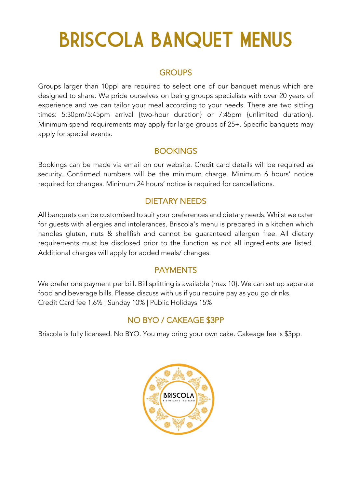## BRISCOLA BANQUET MENUS

#### **GROUPS**

Groups larger than 10ppl are required to select one of our banquet menus which are designed to share. We pride ourselves on being groups specialists with over 20 years of experience and we can tailor your meal according to your needs. There are two sitting times: 5:30pm/5:45pm arrival {two-hour duration} or 7:45pm {unlimited duration}. Minimum spend requirements may apply for large groups of 25+. Specific banquets may apply for special events.

#### **BOOKINGS**

Bookings can be made via email on our website. Credit card details will be required as security. Confirmed numbers will be the minimum charge. Minimum 6 hours' notice required for changes. Minimum 24 hours' notice is required for cancellations.

#### DIETARY NEEDS

All banquets can be customised to suit your preferences and dietary needs. Whilst we cater for guests with allergies and intolerances, Briscola's menu is prepared in a kitchen which handles gluten, nuts & shellfish and cannot be guaranteed allergen free. All dietary requirements must be disclosed prior to the function as not all ingredients are listed. Additional charges will apply for added meals/ changes.

#### PAYMENTS

We prefer one payment per bill. Bill splitting is available {max 10}. We can set up separate food and beverage bills. Please discuss with us if you require pay as you go drinks. Credit Card fee 1.6% | Sunday 10% | Public Holidays 15%

### NO BYO / CAKEAGE \$3PP

Briscola is fully licensed. No BYO. You may bring your own cake. Cakeage fee is \$3pp.

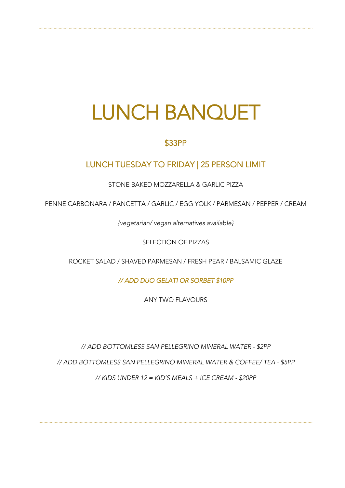### LUNCH BANQUET

```````````````````````````````````````````````````````````````````````````````````````````````````````````````````````````````````````````````````````````````````````````````````````````````````````````````````````````

#### \$33PP

#### LUNCH TUESDAY TO FRIDAY | 25 PERSON LIMIT

STONE BAKED MOZZARELLA & GARLIC PIZZA

PENNE CARBONARA / PANCETTA / GARLIC / EGG YOLK / PARMESAN / PEPPER / CREAM

*{vegetarian/ vegan alternatives available}*

SELECTION OF PIZZAS

ROCKET SALAD / SHAVED PARMESAN / FRESH PEAR / BALSAMIC GLAZE

*// ADD DUO GELATI OR SORBET \$10PP* 

ANY TWO FLAVOURS

*// ADD BOTTOMLESS SAN PELLEGRINO MINERAL WATER - \$2PP*

*// ADD BOTTOMLESS SAN PELLEGRINO MINERAL WATER & COFFEE/ TEA - \$5PP*

*// KIDS UNDER 12 = KID'S MEALS + ICE CREAM - \$20PP*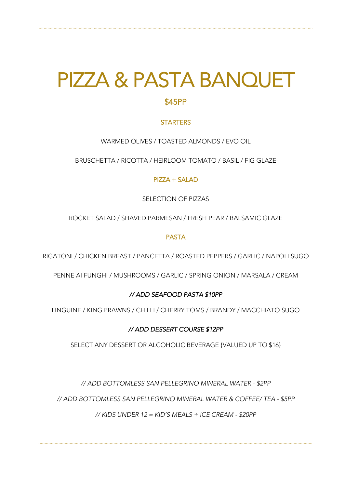# PIZZA & PASTA BANQUET

```````````````````````````````````````````````````````````````````````````````````````````````````````````````````````````````````````````````````````````````````````````````````````````````````````````````````````````

#### **STARTERS**

WARMED OLIVES / TOASTED ALMONDS / EVO OIL

BRUSCHETTA / RICOTTA / HEIRLOOM TOMATO / BASIL / FIG GLAZE

#### PIZZA + SALAD

SELECTION OF PIZZAS

ROCKET SALAD / SHAVED PARMESAN / FRESH PEAR / BALSAMIC GLAZE

#### PASTA

RIGATONI / CHICKEN BREAST / PANCETTA / ROASTED PEPPERS / GARLIC / NAPOLI SUGO

PENNE AI FUNGHI / MUSHROOMS / GARLIC / SPRING ONION / MARSALA / CREAM

#### *// ADD SEAFOOD PASTA \$10PP*

LINGUINE / KING PRAWNS / CHILLI / CHERRY TOMS / BRANDY / MACCHIATO SUGO

#### *// ADD DESSERT COURSE \$12PP*

SELECT ANY DESSERT OR ALCOHOLIC BEVERAGE {VALUED UP TO \$16}

*// ADD BOTTOMLESS SAN PELLEGRINO MINERAL WATER - \$2PP*

*// ADD BOTTOMLESS SAN PELLEGRINO MINERAL WATER & COFFEE/ TEA - \$5PP*

*// KIDS UNDER 12 = KID'S MEALS + ICE CREAM - \$20PP*

```````````````````````````````````````````````````````````````````````````````````````````````````````````````````````````````````````````````````````````````````````````````````````````````````````````````````````````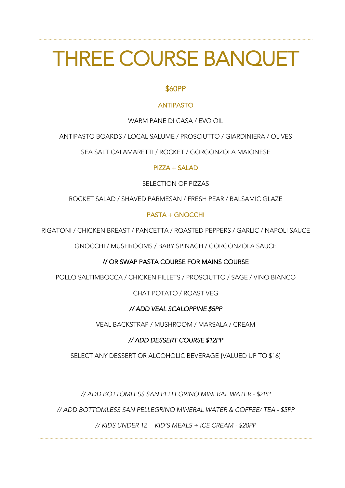### THREE COURSE BANQUET

```````````````````````````````````````````````````````````````````````````````````````````````````````````````````````````````````````````````````````````````````````````````````````````````````````````````````````````

#### \$60PP

#### ANTIPASTO

WARM PANE DI CASA / EVO OIL

ANTIPASTO BOARDS / LOCAL SALUME / PROSCIUTTO / GIARDINIERA / OLIVES

SEA SALT CALAMARETTI / ROCKET / GORGONZOLA MAIONESE

#### PIZZA + SALAD

SELECTION OF PIZZAS

ROCKET SALAD / SHAVED PARMESAN / FRESH PEAR / BALSAMIC GLAZE

#### PASTA + GNOCCHI

RIGATONI / CHICKEN BREAST / PANCETTA / ROASTED PEPPERS / GARLIC / NAPOLI SAUCE

GNOCCHI / MUSHROOMS / BABY SPINACH / GORGONZOLA SAUCE

#### // OR SWAP PASTA COURSE FOR MAINS COURSE

POLLO SALTIMBOCCA / CHICKEN FILLETS / PROSCIUTTO / SAGE / VINO BIANCO

CHAT POTATO / ROAST VEG

#### *// ADD VEAL SCALOPPINE \$5PP*

VEAL BACKSTRAP / MUSHROOM / MARSALA / CREAM

#### *// ADD DESSERT COURSE \$12PP*

SELECT ANY DESSERT OR ALCOHOLIC BEVERAGE {VALUED UP TO \$16}

*// ADD BOTTOMLESS SAN PELLEGRINO MINERAL WATER - \$2PP*

*// ADD BOTTOMLESS SAN PELLEGRINO MINERAL WATER & COFFEE/ TEA - \$5PP*

*// KIDS UNDER 12 = KID'S MEALS + ICE CREAM - \$20PP*

```````````````````````````````````````````````````````````````````````````````````````````````````````````````````````````````````````````````````````````````````````````````````````````````````````````````````````````